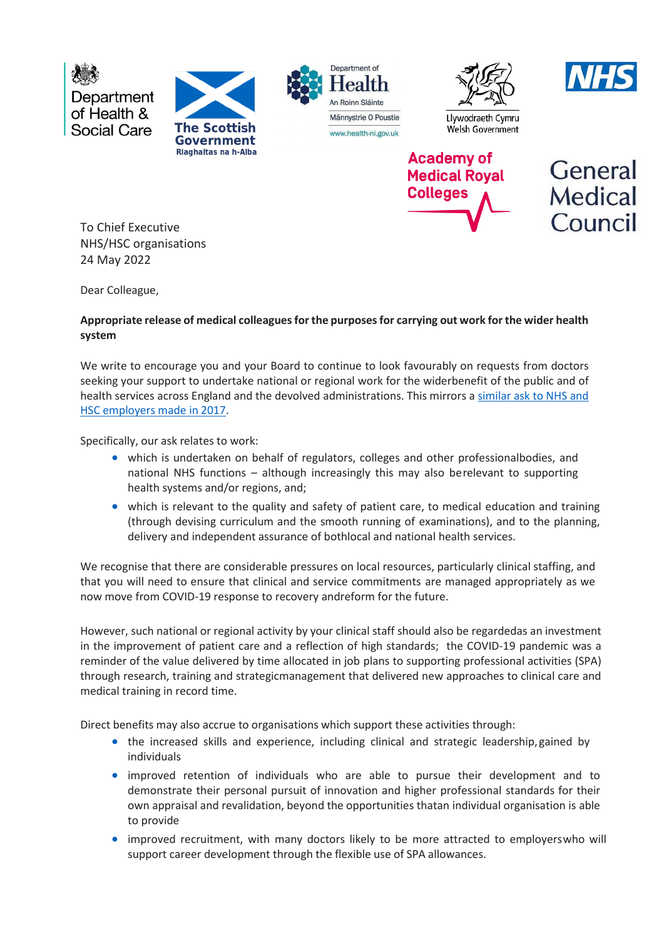Department of Health & Social Care







Welsh Government **Academy of** 





To Chief Executive NHS/HSC organisations 24 May 2022

Dear Colleague,

## **Appropriate release of medical colleagues for the purposes for carrying out work for the wider health system**

We write to encourage you and your Board to continue to look favourably on requests from doctors seeking your support to undertake national or regional work for the widerbenefit of the public and of health services across England and the devolved administrations. This mirrors a similar ask to NHS and [HSC employers made in 2017.](https://www.aomrc.org.uk/wp-content/uploads/2017/08/070717_CMO_letter_wider_NHS_work-2.pdf)

Specifically, our ask relates to work:

- which is undertaken on behalf of regulators, colleges and other professionalbodies, and national NHS functions – although increasingly this may also berelevant to supporting health systems and/or regions, and;
- which is relevant to the quality and safety of patient care, to medical education and training (through devising curriculum and the smooth running of examinations), and to the planning, delivery and independent assurance of bothlocal and national health services.

We recognise that there are considerable pressures on local resources, particularly clinical staffing, and that you will need to ensure that clinical and service commitments are managed appropriately as we now move from COVID-19 response to recovery andreform for the future.

However, such national or regional activity by your clinical staff should also be regardedas an investment in the improvement of patient care and a reflection of high standards; the COVID-19 pandemic was a reminder of the value delivered by time allocated in job plans to supporting professional activities (SPA) through research, training and strategicmanagement that delivered new approaches to clinical care and medical training in record time.

Direct benefits may also accrue to organisations which support these activities through:

- the increased skills and experience, including clinical and strategic leadership, gained by individuals
- improved retention of individuals who are able to pursue their development and to demonstrate their personal pursuit of innovation and higher professional standards for their own appraisal and revalidation, beyond the opportunities thatan individual organisation is able to provide
- improved recruitment, with many doctors likely to be more attracted to employerswho will support career development through the flexible use of SPA allowances.